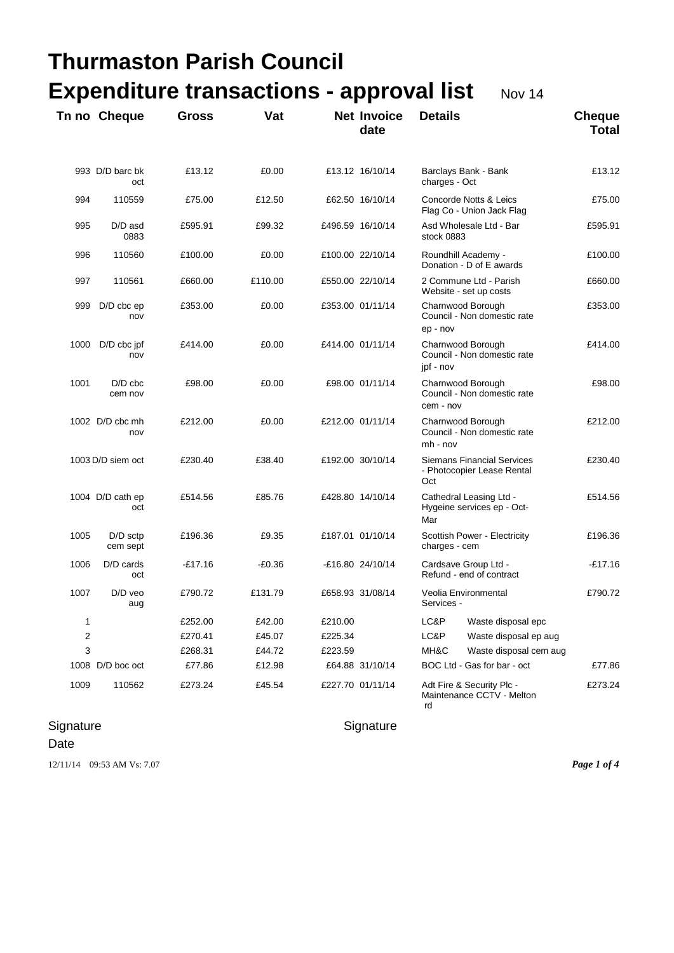| <b>Thurmaston Parish Council</b>                          |                         |              |          |         |                            |                                                                        |                               |  |  |
|-----------------------------------------------------------|-------------------------|--------------|----------|---------|----------------------------|------------------------------------------------------------------------|-------------------------------|--|--|
| <b>Expenditure transactions - approval list</b><br>Nov 14 |                         |              |          |         |                            |                                                                        |                               |  |  |
|                                                           | Tn no Cheque            | <b>Gross</b> | Vat      |         | <b>Net Invoice</b><br>date | <b>Details</b>                                                         | <b>Cheque</b><br><b>Total</b> |  |  |
|                                                           | 993 D/D barc bk<br>oct  | £13.12       | £0.00    |         | £13.12 16/10/14            | Barclays Bank - Bank<br>charges - Oct                                  | £13.12                        |  |  |
| 994                                                       | 110559                  | £75.00       | £12.50   |         | £62.50 16/10/14            | Concorde Notts & Leics<br>Flag Co - Union Jack Flag                    | £75.00                        |  |  |
| 995                                                       | D/D asd<br>0883         | £595.91      | £99.32   |         | £496.59 16/10/14           | Asd Wholesale Ltd - Bar<br>stock 0883                                  | £595.91                       |  |  |
| 996                                                       | 110560                  | £100.00      | £0.00    |         | £100.00 22/10/14           | Roundhill Academy -<br>Donation - D of E awards                        | £100.00                       |  |  |
| 997                                                       | 110561                  | £660.00      | £110.00  |         | £550.00 22/10/14           | 2 Commune Ltd - Parish<br>Website - set up costs                       | £660.00                       |  |  |
| 999                                                       | $D/D$ cbc $ep$<br>nov   | £353.00      | £0.00    |         | £353.00 01/11/14           | Charnwood Borough<br>Council - Non domestic rate<br>ep - nov           | £353.00                       |  |  |
| 1000                                                      | $D/D$ cbc jpf<br>nov    | £414.00      | £0.00    |         | £414.00 01/11/14           | Charnwood Borough<br>Council - Non domestic rate<br>jpf - nov          | £414.00                       |  |  |
| 1001                                                      | $D/D$ cbc<br>cem nov    | £98.00       | £0.00    |         | £98.00 01/11/14            | Charnwood Borough<br>Council - Non domestic rate<br>cem - nov          | £98.00                        |  |  |
|                                                           | 1002 D/D cbc mh<br>nov  | £212.00      | £0.00    |         | £212.00 01/11/14           | Charnwood Borough<br>Council - Non domestic rate<br>mh - nov           | £212.00                       |  |  |
|                                                           | 1003 D/D siem oct       | £230.40      | £38.40   |         | £192.00 30/10/14           | <b>Siemans Financial Services</b><br>- Photocopier Lease Rental<br>Oct | £230.40                       |  |  |
|                                                           | 1004 D/D cath ep<br>oct | £514.56      | £85.76   |         | £428.80 14/10/14           | Cathedral Leasing Ltd -<br>Hygeine services ep - Oct-<br>Mar           | £514.56                       |  |  |
| 1005                                                      | D/D sctp<br>cem sept    | £196.36      | £9.35    |         | £187.01 01/10/14           | Scottish Power - Electricity<br>charges - cem                          | £196.36                       |  |  |
| 1006                                                      | D/D cards<br>oct        | $-£17.16$    | $-£0.36$ |         | -£16.80 24/10/14           | Cardsave Group Ltd -<br>Refund - end of contract                       | $-£17.16$                     |  |  |
| 1007                                                      | D/D veo<br>aug          | £790.72      | £131.79  |         | £658.93 31/08/14           | Veolia Environmental<br>Services -                                     | £790.72                       |  |  |
| 1                                                         |                         | £252.00      | £42.00   | £210.00 |                            | LC&P<br>Waste disposal epc                                             |                               |  |  |
| 2                                                         |                         | £270.41      | £45.07   | £225.34 |                            | LC&P<br>Waste disposal ep aug                                          |                               |  |  |
| 3                                                         |                         | £268.31      | £44.72   | £223.59 |                            | MH&C<br>Waste disposal cem aug                                         |                               |  |  |
|                                                           | 1008 D/D boc oct        | £77.86       | £12.98   |         | £64.88 31/10/14            | BOC Ltd - Gas for bar - oct                                            | £77.86                        |  |  |
| 1009                                                      | 110562                  | £273.24      | £45.54   |         | £227.70 01/11/14           | Adt Fire & Security Plc -<br>Maintenance CCTV - Melton<br>rd           | £273.24                       |  |  |

## Signature Signature Signature

Date

12/11/14 09:53 AM Vs: 7.07 *Page 1 of 4*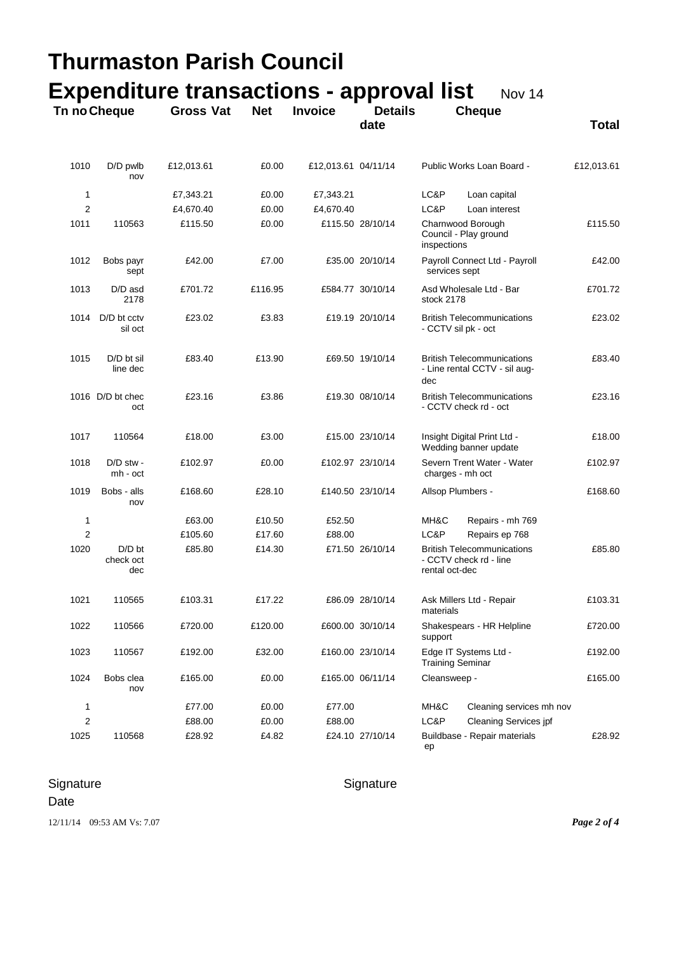| Thurmaston Parish Council                                 |                              |                  |            |                     |                        |                                                                               |              |  |  |  |
|-----------------------------------------------------------|------------------------------|------------------|------------|---------------------|------------------------|-------------------------------------------------------------------------------|--------------|--|--|--|
| <b>Expenditure transactions - approval list</b><br>Nov 14 |                              |                  |            |                     |                        |                                                                               |              |  |  |  |
| Tn no Cheque                                              |                              | <b>Gross Vat</b> | <b>Net</b> | <b>Invoice</b>      | <b>Details</b><br>date | <b>Cheque</b>                                                                 | <b>Total</b> |  |  |  |
| 1010                                                      | D/D pwlb<br>nov              | £12,013.61       | £0.00      | £12,013.61 04/11/14 |                        | Public Works Loan Board -                                                     | £12,013.61   |  |  |  |
| 1                                                         |                              | £7,343.21        | £0.00      | £7,343.21           |                        | LC&P<br>Loan capital                                                          |              |  |  |  |
| $\overline{2}$                                            |                              | £4,670.40        | £0.00      | £4,670.40           |                        | LC&P<br>Loan interest                                                         |              |  |  |  |
| 1011                                                      | 110563                       | £115.50          | £0.00      |                     | £115.50 28/10/14       | Charnwood Borough<br>Council - Play ground<br>inspections                     | £115.50      |  |  |  |
| 1012                                                      | Bobs payr<br>sept            | £42.00           | £7.00      |                     | £35.00 20/10/14        | Payroll Connect Ltd - Payroll<br>services sept                                | £42.00       |  |  |  |
| 1013                                                      | D/D asd<br>2178              | £701.72          | £116.95    |                     | £584.77 30/10/14       | Asd Wholesale Ltd - Bar<br>stock 2178                                         | £701.72      |  |  |  |
| 1014                                                      | D/D bt cctv<br>sil oct       | £23.02           | £3.83      |                     | £19.19 20/10/14        | <b>British Telecommunications</b><br>- CCTV sil pk - oct                      | £23.02       |  |  |  |
| 1015                                                      | D/D bt sil<br>line dec       | £83.40           | £13.90     |                     | £69.50 19/10/14        | <b>British Telecommunications</b><br>- Line rental CCTV - sil aug-<br>dec     | £83.40       |  |  |  |
|                                                           | 1016 D/D bt chec<br>oct      | £23.16           | £3.86      |                     | £19.30 08/10/14        | <b>British Telecommunications</b><br>- CCTV check rd - oct                    | £23.16       |  |  |  |
| 1017                                                      | 110564                       | £18.00           | £3.00      |                     | £15.00 23/10/14        | Insight Digital Print Ltd -<br>Wedding banner update                          | £18.00       |  |  |  |
| 1018                                                      | D/D stw -<br>mh - oct        | £102.97          | £0.00      |                     | £102.97 23/10/14       | Severn Trent Water - Water<br>charges - mh oct                                | £102.97      |  |  |  |
| 1019                                                      | Bobs - alls<br>nov           | £168.60          | £28.10     |                     | £140.50 23/10/14       | Allsop Plumbers -                                                             | £168.60      |  |  |  |
| 1                                                         |                              | £63.00           | £10.50     | £52.50              |                        | MH&C<br>Repairs - mh 769                                                      |              |  |  |  |
| 2                                                         |                              | £105.60          | £17.60     | £88.00              |                        | LC&P<br>Repairs ep 768                                                        |              |  |  |  |
| 1020                                                      | $D/D$ bt<br>check oct<br>dec | £85.80           | £14.30     |                     | £71.50 26/10/14        | <b>British Telecommunications</b><br>- CCTV check rd - line<br>rental oct-dec | £85.80       |  |  |  |
| 1021                                                      | 110565                       | £103.31          | £17.22     |                     | £86.09 28/10/14        | Ask Millers Ltd - Repair<br>materials                                         | £103.31      |  |  |  |
| 1022                                                      | 110566                       | £720.00          | £120.00    |                     | £600.00 30/10/14       | Shakespears - HR Helpline<br>support                                          | £720.00      |  |  |  |
| 1023                                                      | 110567                       | £192.00          | £32.00     |                     | £160.00 23/10/14       | Edge IT Systems Ltd -<br><b>Training Seminar</b>                              | £192.00      |  |  |  |
| 1024                                                      | Bobs clea<br>nov             | £165.00          | £0.00      |                     | £165.00 06/11/14       | Cleansweep -                                                                  | £165.00      |  |  |  |
| 1                                                         |                              | £77.00           | £0.00      | £77.00              |                        | MH&C<br>Cleaning services mh nov                                              |              |  |  |  |
| 2                                                         |                              | £88.00           | £0.00      | £88.00              |                        | LC&P<br><b>Cleaning Services jpf</b>                                          |              |  |  |  |
| 1025                                                      | 110568                       | £28.92           | £4.82      |                     | £24.10 27/10/14        | Buildbase - Repair materials<br>ep                                            | £28.92       |  |  |  |

Signature Signature Signature

## Date

12/11/14 09:53 AM Vs: 7.07 *Page 2 of 4*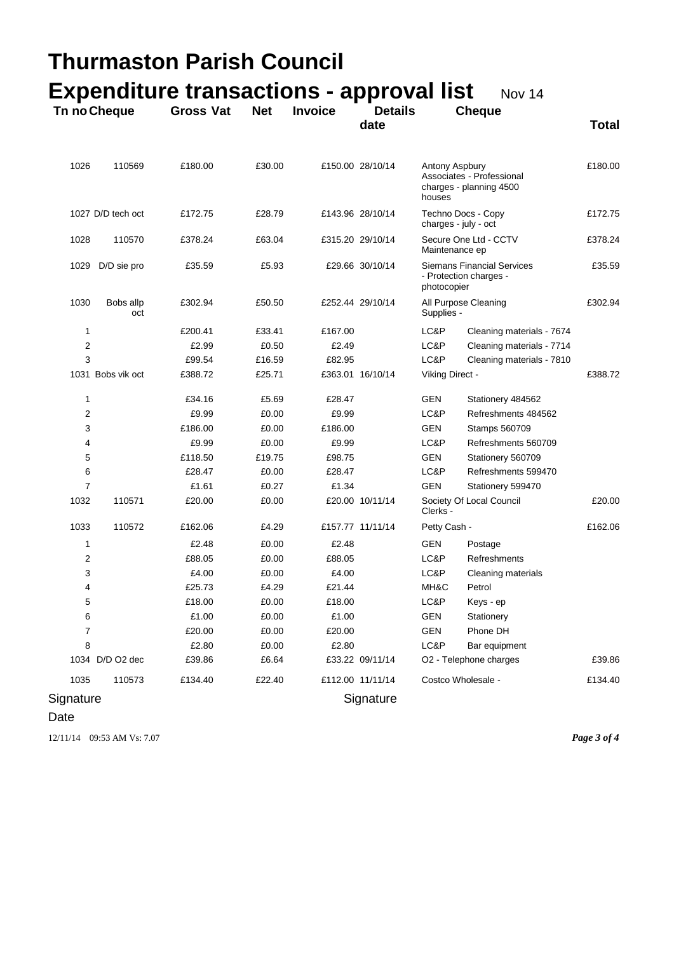|                | Tn no Cheque      | <b>Expenditure transactions - approval list</b><br><b>Gross Vat</b> | <b>Net</b> | <b>Invoice</b> | <b>Details</b><br>date |                                                                            | Nov 14<br><b>Cheque</b>                              | <b>Total</b> |
|----------------|-------------------|---------------------------------------------------------------------|------------|----------------|------------------------|----------------------------------------------------------------------------|------------------------------------------------------|--------------|
| 1026           | 110569            | £180.00                                                             | £30.00     |                | £150.00 28/10/14       | Antony Aspbury<br>houses                                                   | Associates - Professional<br>charges - planning 4500 | £180.00      |
|                | 1027 D/D tech oct | £172.75                                                             | £28.79     |                | £143.96 28/10/14       |                                                                            | Techno Docs - Copy<br>charges - july - oct           | £172.75      |
| 1028           | 110570            | £378.24                                                             | £63.04     |                | £315.20 29/10/14       | Secure One Ltd - CCTV<br>Maintenance ep                                    |                                                      | £378.24      |
| 1029           | D/D sie pro       | £35.59                                                              | £5.93      |                | £29.66 30/10/14        | <b>Siemans Financial Services</b><br>- Protection charges -<br>photocopier |                                                      | £35.59       |
| 1030           | Bobs allp<br>oct  | £302.94                                                             | £50.50     |                | £252.44 29/10/14       | Supplies -                                                                 | All Purpose Cleaning                                 | £302.94      |
| 1              |                   | £200.41                                                             | £33.41     | £167.00        |                        | LC&P                                                                       | Cleaning materials - 7674                            |              |
| 2              |                   | £2.99                                                               | £0.50      | £2.49          |                        | LC&P                                                                       | Cleaning materials - 7714                            |              |
| 3              |                   | £99.54                                                              | £16.59     | £82.95         |                        | LC&P                                                                       | Cleaning materials - 7810                            |              |
|                | 1031 Bobs vik oct | £388.72                                                             | £25.71     |                | £363.01 16/10/14       | Viking Direct -                                                            |                                                      | £388.72      |
| 1              |                   | £34.16                                                              | £5.69      | £28.47         |                        | GEN                                                                        | Stationery 484562                                    |              |
| 2              |                   | £9.99                                                               | £0.00      | £9.99          |                        | LC&P                                                                       | Refreshments 484562                                  |              |
| 3              |                   | £186.00                                                             | £0.00      | £186.00        |                        | GEN                                                                        | Stamps 560709                                        |              |
| 4              |                   | £9.99                                                               | £0.00      | £9.99          |                        | LC&P                                                                       | Refreshments 560709                                  |              |
| 5              |                   | £118.50                                                             | £19.75     | £98.75         |                        | <b>GEN</b>                                                                 | Stationery 560709                                    |              |
| 6              |                   | £28.47                                                              | £0.00      | £28.47         |                        | LC&P                                                                       | Refreshments 599470                                  |              |
| $\overline{7}$ |                   | £1.61                                                               | £0.27      | £1.34          |                        | <b>GEN</b>                                                                 | Stationery 599470                                    |              |
| 1032           | 110571            | £20.00                                                              | £0.00      |                | £20.00 10/11/14        | Clerks -                                                                   | Society Of Local Council                             | £20.00       |
| 1033           | 110572            | £162.06                                                             | £4.29      |                | £157.77 11/11/14       | Petty Cash -                                                               |                                                      | £162.06      |
| 1              |                   | £2.48                                                               | £0.00      | £2.48          |                        | GEN                                                                        | Postage                                              |              |
| 2              |                   | £88.05                                                              | £0.00      | £88.05         |                        | LC&P                                                                       | Refreshments                                         |              |
| 3              |                   | £4.00                                                               | £0.00      | £4.00          |                        | LC&P                                                                       | Cleaning materials                                   |              |
| 4              |                   | £25.73                                                              | £4.29      | £21.44         |                        | MH&C                                                                       | Petrol                                               |              |
| 5              |                   | £18.00                                                              | £0.00      | £18.00         |                        | LC&P                                                                       | Keys - ep                                            |              |
| 6              |                   | £1.00                                                               | £0.00      | £1.00          |                        | <b>GEN</b>                                                                 | Stationery                                           |              |
| 7              |                   | £20.00                                                              | £0.00      | £20.00         |                        | <b>GEN</b>                                                                 | Phone DH                                             |              |
| 8              |                   | £2.80                                                               | £0.00      | £2.80          |                        | LC&P                                                                       | Bar equipment                                        |              |
|                | 1034 D/D O2 dec   | £39.86                                                              | £6.64      |                | £33.22 09/11/14        |                                                                            | O2 - Telephone charges                               | £39.86       |
| 1035           | 110573            | £134.40                                                             | £22.40     |                | £112.00 11/11/14       |                                                                            | Costco Wholesale -                                   | £134.40      |
| Signature      |                   |                                                                     |            |                | Signature              |                                                                            |                                                      |              |

Date

12/11/14 09:53 AM Vs: 7.07 *Page 3 of 4*